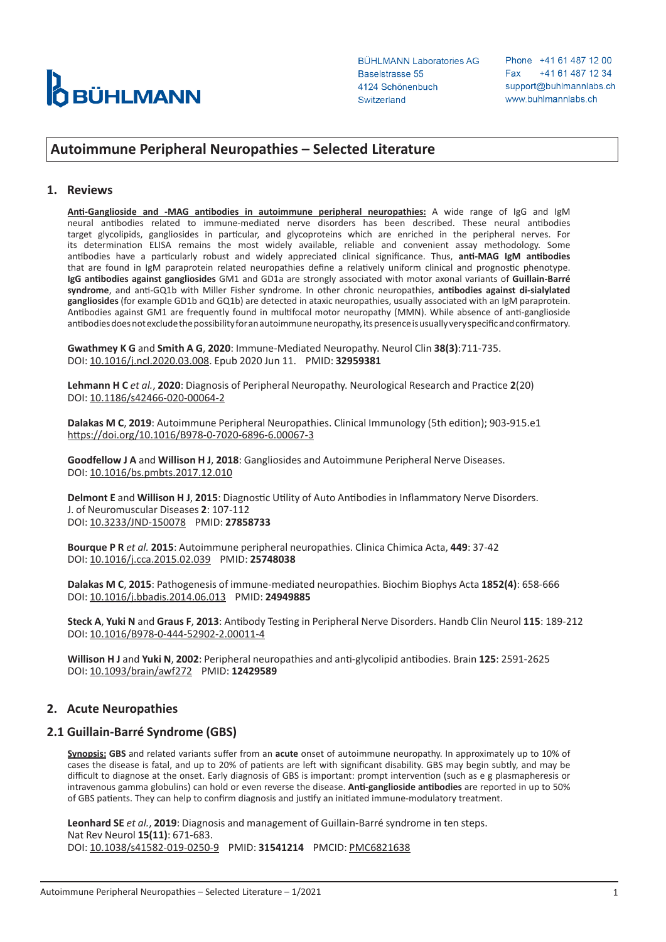

Phone +41 61 487 12 00 +41 61 487 12 34 Fax support@buhlmannlabs.ch www.buhlmannlabs.ch

# **Autoimmune Peripheral Neuropathies – Selected Literature**

#### **1. Reviews**

**Anti-Ganglioside and -MAG antibodies in autoimmune peripheral neuropathies:** A wide range of IgG and IgM neural antibodies related to immune-mediated nerve disorders has been described. These neural antibodies target glycolipids, gangliosides in particular, and glycoproteins which are enriched in the peripheral nerves. For its determination ELISA remains the most widely available, reliable and convenient assay methodology. Some antibodies have a particularly robust and widely appreciated clinical significance. Thus, **anti-MAG IgM antibodies** that are found in IgM paraprotein related neuropathies define a relatively uniform clinical and prognostic phenotype. **IgG antibodies against gangliosides** GM1 and GD1a are strongly associated with motor axonal variants of **Guillain-Barré syndrome**, and anti-GQ1b with Miller Fisher syndrome. In other chronic neuropathies, **antibodies against di-sialylated gangliosides** (for example GD1b and GQ1b) are detected in ataxic neuropathies, usually associated with an IgM paraprotein. Antibodies against GM1 are frequently found in multifocal motor neuropathy (MMN). While absence of anti-ganglioside antibodies does not exclude the possibility for an autoimmune neuropathy, its presence is usually very specific and confirmatory.

**Gwathmey K G** and **Smith A G**, **2020**: Immune-Mediated Neuropathy. Neurol Clin **38(3)**:711-735. DOI: [10.1016/j.ncl.2020.03.008](https://www.sciencedirect.com/science/article/abs/pii/S0733861920300293?via%3Dihub). Epub 2020 Jun 11. PMID: **32959381**

**Lehmann H C** *et al.*, **2020**: Diagnosis of Peripheral Neuropathy. Neurological Research and Practice **2**(20) DOI: [10.1186/s42466-020-00064-2](https://neurolrespract.biomedcentral.com/articles/10.1186/s42466-020-00064-2)

**Dalakas M C**, **2019**: Autoimmune Peripheral Neuropathies. Clinical Immunology (5th edition); 903-915.e1 <https://doi.org/10.1016/B978-0-7020-6896-6.00067-3>

**Goodfellow J A** and **Willison H J**, **2018**: Gangliosides and Autoimmune Peripheral Nerve Diseases. DOI: [10.1016/bs.pmbts.2017.12.010](https://www.sciencedirect.com/science/article/pii/S1877117317302156?via%3Dihub)

**Delmont E** and **Willison H J**, **2015**: Diagnostic Utility of Auto Antibodies in Inflammatory Nerve Disorders. J. of Neuromuscular Diseases **2**: 107-112 DOI: [10.3233/JND-150078](https://content.iospress.com/articles/journal-of-neuromuscular-diseases/jnd150078) PMID: **27858733**

**Bourque P R** *et al.* **2015**: Autoimmune peripheral neuropathies. Clinica Chimica Acta, **449**: 37-42 DOI: [10.1016/j.cca.2015.02.039](https://www.sciencedirect.com/science/article/pii/S0009898115001230?via%3Dihub) PMID: **25748038**

**Dalakas M C**, **2015**: Pathogenesis of immune-mediated neuropathies. Biochim Biophys Acta **1852(4)**: 658-666 DOI: [10.1016/j.bbadis.2014.06.013](https://www.sciencedirect.com/science/article/pii/S0925443914001781?via%3Dihub) PMID: **24949885**

**Steck A**, **Yuki N** and **Graus F**, **2013**: Antibody Testing in Peripheral Nerve Disorders. Handb Clin Neurol **115**: 189-212 DOI: [10.1016/B978-0-444-52902-2.00011-4](https://www.sciencedirect.com/science/article/pii/B9780444529022000114?via%3Dihub)

**Willison H J** and **Yuki N**, **2002**: Peripheral neuropathies and anti-glycolipid antibodies. Brain **125**: 2591-2625 DOI: [10.1093/brain/awf272](https://academic.oup.com/brain/article/125/12/2591/397391) PMID: **12429589**

#### **2. Acute Neuropathies**

#### **2.1 Guillain-Barré Syndrome (GBS)**

**Synopsis: GBS** and related variants suffer from an **acute** onset of autoimmune neuropathy. In approximately up to 10% of cases the disease is fatal, and up to 20% of patients are left with significant disability. GBS may begin subtly, and may be difficult to diagnose at the onset. Early diagnosis of GBS is important: prompt intervention (such as e g plasmapheresis or intravenous gamma globulins) can hold or even reverse the disease. **Anti-ganglioside antibodies** are reported in up to 50% of GBS patients. They can help to confirm diagnosis and justify an initiated immune-modulatory treatment.

**Leonhard SE** *et al.*, **2019**: Diagnosis and management of Guillain-Barré syndrome in ten steps. Nat Rev Neurol **15(11)**: 671-683. DOI: [10.1038/s41582-019-0250-9](https://www.nature.com/articles/s41582-019-0250-9) PMID: **31541214** PMCID: [PMC6821638](https://www.ncbi.nlm.nih.gov/pmc/articles/PMC6821638/)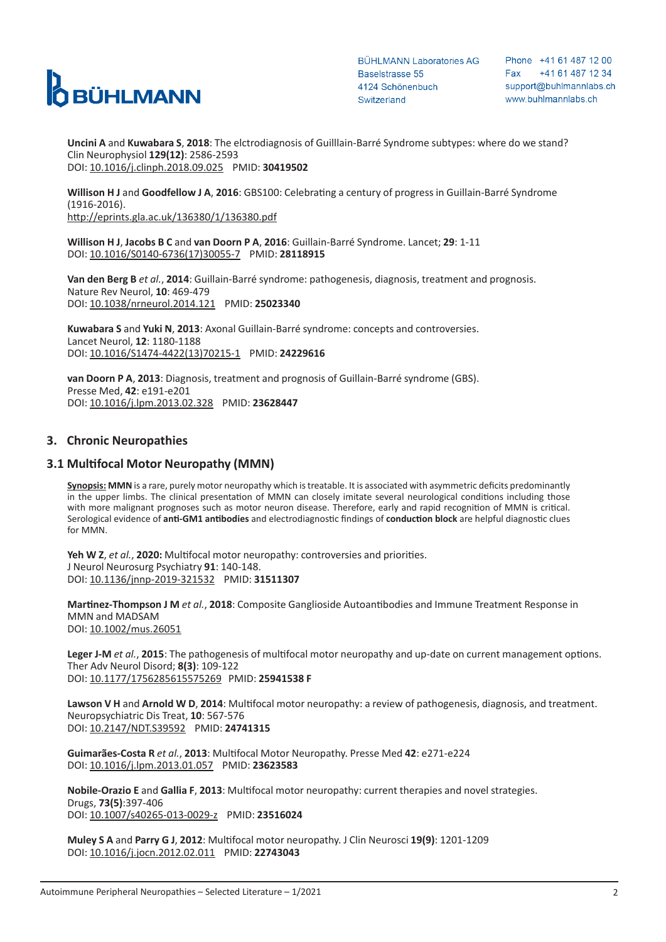

Phone +41 61 487 12 00 +41 61 487 12 34 Fax support@buhlmannlabs.ch www.buhlmannlabs.ch

**Uncini A** and **Kuwabara S**, **2018**: The elctrodiagnosis of Guilllain-Barré Syndrome subtypes: where do we stand? Clin Neurophysiol **129(12)**: 2586-2593 DOI: [10.1016/j.clinph.2018.09.025](https://www.sciencedirect.com/science/article/pii/S1388245718312598?via%3Dihub) PMID: **30419502**

**Willison H J** and **Goodfellow J A**, **2016**: GBS100: Celebrating a century of progress in Guillain-Barré Syndrome (1916-2016). <http://eprints.gla.ac.uk/136380/1/136380.pdf>

**Willison H J**, **Jacobs B C** and **van Doorn P A**, **2016**: Guillain-Barré Syndrome. Lancet; **29**: 1-11 DOI: [10.1016/S0140-6736\(17\)30055-7](https://www.sciencedirect.com/science/article/pii/S0140673617300557?via%3Dihub) PMID: **28118915**

**Van den Berg B** *et al.*, **2014**: Guillain-Barré syndrome: pathogenesis, diagnosis, treatment and prognosis. Nature Rev Neurol, **10**: 469-479 DOI: [10.1038/nrneurol.2014.121](https://www.nature.com/articles/nrneurol.2014.121) PMID: **25023340**

**Kuwabara S** and **Yuki N**, **2013**: Axonal Guillain-Barré syndrome: concepts and controversies. Lancet Neurol, **12**: 1180-1188 DOI: [10.1016/S1474-4422\(13\)70215-1](https://www.sciencedirect.com/science/article/pii/S1474442213702151?via%3Dihub) PMID: **24229616**

**van Doorn P A**, **2013**: Diagnosis, treatment and prognosis of Guillain-Barré syndrome (GBS). Presse Med, **42**: e191-e201 DOI: [10.1016/j.lpm.2013.02.328](https://www.sciencedirect.com/science/article/pii/S0755498213005058?via%3Dihub) PMID: **23628447**

## **3. Chronic Neuropathies**

### **3.1 Multifocal Motor Neuropathy (MMN)**

**Synopsis: MMN** is a rare, purely motor neuropathy which is treatable. It is associated with asymmetric deficits predominantly in the upper limbs. The clinical presentation of MMN can closely imitate several neurological conditions including those with more malignant prognoses such as motor neuron disease. Therefore, early and rapid recognition of MMN is critical. Serological evidence of **anti-GM1 antibodies** and electrodiagnostic findings of **conduction block** are helpful diagnostic clues for MMN.

Yeh W Z, *et al.*, 2020: Multifocal motor neuropathy: controversies and priorities. J Neurol Neurosurg Psychiatry **91**: 140-148. DOI: [10.1136/jnnp-2019-321532](https://jnnp.bmj.com/content/jnnp/91/2/140.full.pdf) PMID: **31511307**

**Martinez-Thompson J M** *et al.*, **2018**: Composite Ganglioside Autoantibodies and Immune Treatment Response in MMN and MADSAM DOI: [10.1002/mus.26051](https://onlinelibrary.wiley.com/doi/abs/10.1002/mus.26051)

**Leger J-M** *et al.*, **2015**: The pathogenesis of multifocal motor neuropathy and up-date on current management options. Ther Adv Neurol Disord; **8(3)**: 109-122 DOI: [10.1177/1756285615575269](https://journals.sagepub.com/doi/pdf/10.1177/1756285615575269) PMID: **25941538 F**

**Lawson V H** and **Arnold W D**, **2014**: Multifocal motor neuropathy: a review of pathogenesis, diagnosis, and treatment. Neuropsychiatric Dis Treat, **10**: 567-576 DOI: [10.2147/NDT.S39592](https://www.dovepress.com/multifocal-motor-neuropathy-a-review-of-pathogenesis-diagnosis-and-tre-peer-reviewed-fulltext-article-NDT) PMID: **24741315**

**Guimarães-Costa R** *et al.*, **2013**: Multifocal Motor Neuropathy. Presse Med **42**: e271-e224 DOI: [10.1016/j.lpm.2013.01.057](https://www.sciencedirect.com/science/article/pii/S0755498213005113?via%3Dihub) PMID: **23623583**

**Nobile-Orazio E** and **Gallia F**, **2013**: Multifocal motor neuropathy: current therapies and novel strategies. Drugs, **73(5)**:397-406 DOI: [10.1007/s40265-013-0029-z](https://pubmed.ncbi.nlm.nih.gov/23516024/) PMID: **23516024**

**Muley S A** and **Parry G J**, **2012**: Multifocal motor neuropathy. J Clin Neurosci **19(9)**: 1201-1209 DOI: [10.1016/j.jocn.2012.02.011](https://www.sciencedirect.com/science/article/pii/S0967586812001348?via%3Dihub) PMID: **22743043**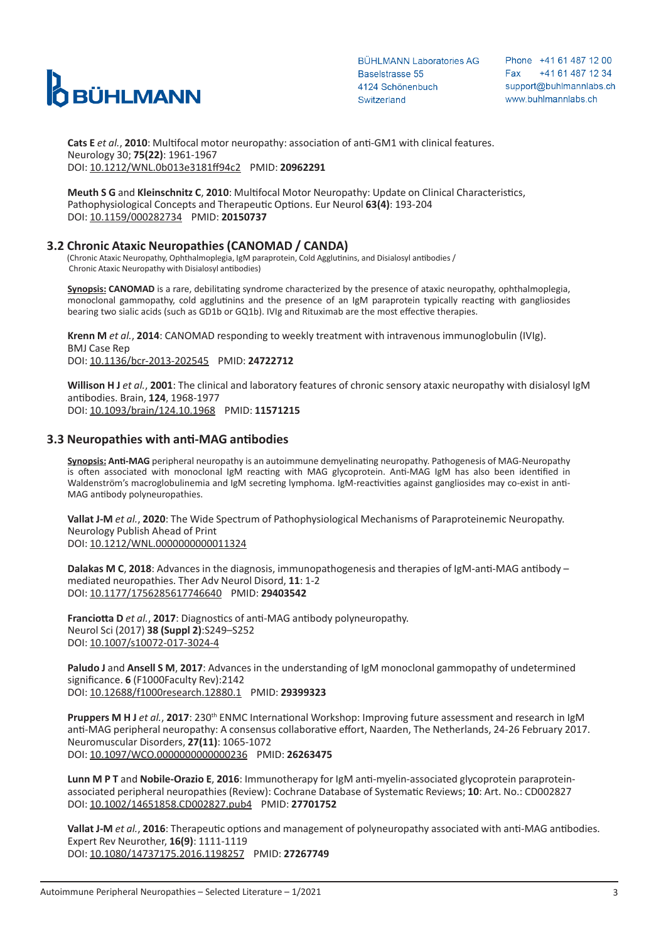

Phone +41 61 487 12 00 +41 61 487 12 34 Fax support@buhlmannlabs.ch www.buhlmannlabs.ch

**Cats E** *et al.*, **2010**: Multifocal motor neuropathy: association of anti-GM1 with clinical features. Neurology 30; **75(22)**: 1961-1967 DOI: [10.1212/WNL.0b013e3181ff94c2](https://pubmed.ncbi.nlm.nih.gov/20962291/) PMID: **20962291**

**Meuth S G** and **Kleinschnitz C**, **2010**: Multifocal Motor Neuropathy: Update on Clinical Characteristics, Pathophysiological Concepts and Therapeutic Options. Eur Neurol **63(4)**: 193-204 DOI: [10.1159/000282734](https://www.karger.com/Article/PDF/282734) PMID: **20150737**

# **3.2 Chronic Ataxic Neuropathies (CANOMAD / CANDA)**

(Chronic Ataxic Neuropathy, Ophthalmoplegia, IgM paraprotein, Cold Agglutinins, and Disialosyl antibodies / Chronic Ataxic Neuropathy with Disialosyl antibodies)

**Synopsis: CANOMAD** is a rare, debilitating syndrome characterized by the presence of ataxic neuropathy, ophthalmoplegia, monoclonal gammopathy, cold agglutinins and the presence of an IgM paraprotein typically reacting with gangliosides bearing two sialic acids (such as GD1b or GQ1b). IVIg and Rituximab are the most effective therapies.

**Krenn M** *et al.*, **2014**: CANOMAD responding to weekly treatment with intravenous immunoglobulin (IVIg). BMJ Case Rep DOI: [10.1136/bcr-2013-202545](https://www.ncbi.nlm.nih.gov/pmc/articles/PMC3987528/pdf/bcr-2013-202545.pdf) PMID: **24722712**

**Willison H J** *et al.*, **2001**: The clinical and laboratory features of chronic sensory ataxic neuropathy with disialosyl IgM antibodies. Brain, **124**, 1968-1977 DOI: [10.1093/brain/124.10.1968](https://academic.oup.com/brain/article/124/10/1968/333486) PMID: **11571215**

## **3.3 Neuropathies with anti-MAG antibodies**

**Synopsis: Anti-MAG** peripheral neuropathy is an autoimmune demyelinating neuropathy. Pathogenesis of MAG-Neuropathy is often associated with monoclonal IgM reacting with MAG glycoprotein. Anti-MAG IgM has also been identified in Waldenström's macroglobulinemia and IgM secreting lymphoma. IgM-reactivities against gangliosides may co-exist in anti-MAG antibody polyneuropathies.

**Vallat J-M** *et al.*, **2020**: The Wide Spectrum of Pathophysiological Mechanisms of Paraproteinemic Neuropathy. Neurology Publish Ahead of Print DOI: [10.1212/WNL.0000000000011324](https://pubmed.ncbi.nlm.nih.gov/33277411/)

**Dalakas M C**, **2018**: Advances in the diagnosis, immunopathogenesis and therapies of IgM-anti-MAG antibody – mediated neuropathies. Ther Adv Neurol Disord, **11**: 1-2 DOI: [10.1177/1756285617746640](https://www.ncbi.nlm.nih.gov/pmc/articles/PMC5791554/pdf/10.1177_1756285617746640.pdf) PMID: **29403542**

**Franciotta D** *et al.*, **2017**: Diagnostics of anti-MAG antibody polyneuropathy. Neurol Sci (2017) **38 (Suppl 2)**:S249–S252 DOI: [10.1007/s10072-017-3024-4](https://pubmed.ncbi.nlm.nih.gov/29030772/)

**Paludo J** and **Ansell S M**, **2017**: Advances in the understanding of IgM monoclonal gammopathy of undetermined significance. **6** (F1000Faculty Rev):2142 DOI: [10.12688/f1000research.12880.1](https://www.ncbi.nlm.nih.gov/pmc/articles/PMC5785715/pdf/f1000research-6-13961.pdf) PMID: **29399323**

**Pruppers M H J** *et al.*, **2017**: 230<sup>th</sup> ENMC International Workshop: Improving future assessment and research in IgM anti-MAG peripheral neuropathy: A consensus collaborative effort, Naarden, The Netherlands, 24-26 February 2017. Neuromuscular Disorders, **27(11)**: 1065-1072 DOI: [10.1097/WCO.0000000000000236](https://reader.elsevier.com/reader/sd/pii/S0960896617312087?token=01960161C0C02ACF7898EFAA3EFE112B4DABB6447762FB7BC53E0E33BCDDE29DB835CB68F4C142761AD6B3D0B85D9116) PMID: **26263475**

**Lunn M P T** and **Nobile-Orazio E**, **2016**: Immunotherapy for IgM anti-myelin-associated glycoprotein paraproteinassociated peripheral neuropathies (Review): Cochrane Database of Systematic Reviews; **10**: Art. No.: CD002827 DOI: [10.1002/14651858.CD002827.pub4](https://www.ncbi.nlm.nih.gov/pmc/articles/PMC6457998/pdf/CD002827.pdf) PMID: **27701752**

**Vallat J-M** *et al.*, **2016**: Therapeutic options and management of polyneuropathy associated with anti-MAG antibodies. Expert Rev Neurother, **16(9)**: 1111-1119 DOI: [10.1080/14737175.2016.1198257](https://pubmed.ncbi.nlm.nih.gov/27267749/) PMID: **27267749**